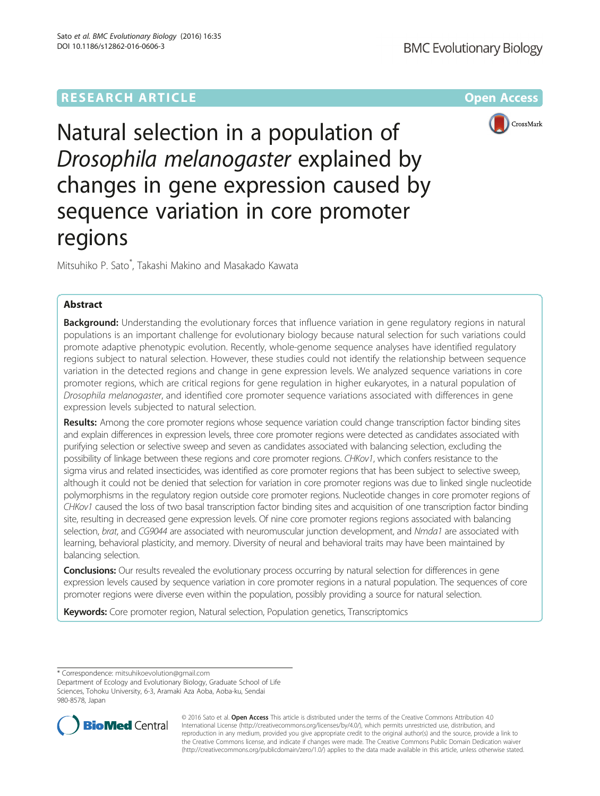# **RESEARCH ARTICLE Example 20 and 20 and 20 and 20 and 20 and 20 and 20 and 20 and 20 and 20 and 20 and 20 and 20 and 20 and 20 and 20 and 20 and 20 and 20 and 20 and 20 and 20 and 20 and 20 and 20 and 20 and 20 and 20 an**



Natural selection in a population of Drosophila melanogaster explained by changes in gene expression caused by sequence variation in core promoter regions

Mitsuhiko P. Sato\* , Takashi Makino and Masakado Kawata

# Abstract

Background: Understanding the evolutionary forces that influence variation in gene regulatory regions in natural populations is an important challenge for evolutionary biology because natural selection for such variations could promote adaptive phenotypic evolution. Recently, whole-genome sequence analyses have identified regulatory regions subject to natural selection. However, these studies could not identify the relationship between sequence variation in the detected regions and change in gene expression levels. We analyzed sequence variations in core promoter regions, which are critical regions for gene regulation in higher eukaryotes, in a natural population of Drosophila melanogaster, and identified core promoter sequence variations associated with differences in gene expression levels subjected to natural selection.

Results: Among the core promoter regions whose sequence variation could change transcription factor binding sites and explain differences in expression levels, three core promoter regions were detected as candidates associated with purifying selection or selective sweep and seven as candidates associated with balancing selection, excluding the possibility of linkage between these regions and core promoter regions. CHKov1, which confers resistance to the sigma virus and related insecticides, was identified as core promoter regions that has been subject to selective sweep, although it could not be denied that selection for variation in core promoter regions was due to linked single nucleotide polymorphisms in the regulatory region outside core promoter regions. Nucleotide changes in core promoter regions of CHKov1 caused the loss of two basal transcription factor binding sites and acquisition of one transcription factor binding site, resulting in decreased gene expression levels. Of nine core promoter regions regions associated with balancing selection, brat, and CG9044 are associated with neuromuscular junction development, and Nmda1 are associated with learning, behavioral plasticity, and memory. Diversity of neural and behavioral traits may have been maintained by balancing selection.

Conclusions: Our results revealed the evolutionary process occurring by natural selection for differences in gene expression levels caused by sequence variation in core promoter regions in a natural population. The sequences of core promoter regions were diverse even within the population, possibly providing a source for natural selection.

Keywords: Core promoter region, Natural selection, Population genetics, Transcriptomics

\* Correspondence: [mitsuhikoevolution@gmail.com](mailto:mitsuhikoevolution@gmail.com)

Department of Ecology and Evolutionary Biology, Graduate School of Life Sciences, Tohoku University, 6-3, Aramaki Aza Aoba, Aoba-ku, Sendai 980-8578, Japan



© 2016 Sato et al. Open Access This article is distributed under the terms of the Creative Commons Attribution 4.0 International License [\(http://creativecommons.org/licenses/by/4.0/](http://creativecommons.org/licenses/by/4.0/)), which permits unrestricted use, distribution, and reproduction in any medium, provided you give appropriate credit to the original author(s) and the source, provide a link to the Creative Commons license, and indicate if changes were made. The Creative Commons Public Domain Dedication waiver [\(http://creativecommons.org/publicdomain/zero/1.0/](http://creativecommons.org/publicdomain/zero/1.0/)) applies to the data made available in this article, unless otherwise stated.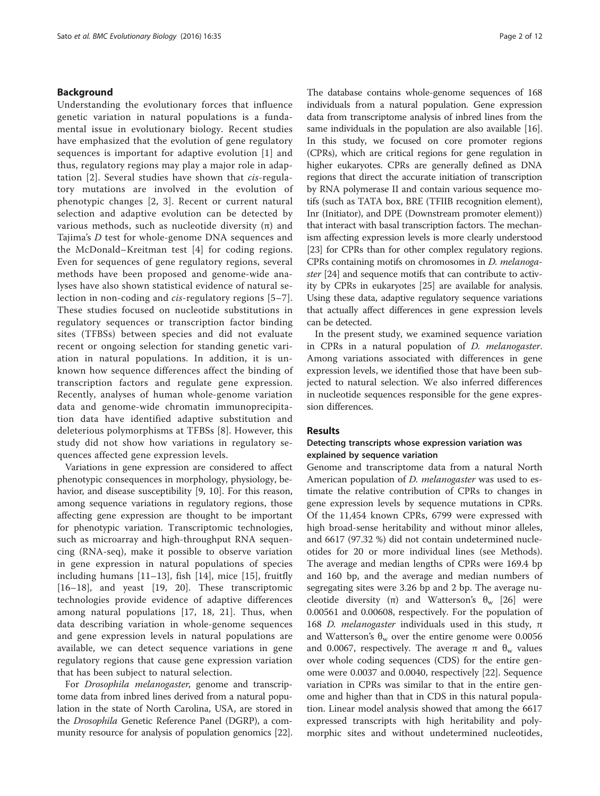## Background

Understanding the evolutionary forces that influence genetic variation in natural populations is a fundamental issue in evolutionary biology. Recent studies have emphasized that the evolution of gene regulatory sequences is important for adaptive evolution [[1\]](#page-10-0) and thus, regulatory regions may play a major role in adaptation [[2\]](#page-10-0). Several studies have shown that cis-regulatory mutations are involved in the evolution of phenotypic changes [[2](#page-10-0), [3](#page-10-0)]. Recent or current natural selection and adaptive evolution can be detected by various methods, such as nucleotide diversity (π) and Tajima's D test for whole-genome DNA sequences and the McDonald–Kreitman test [[4](#page-10-0)] for coding regions. Even for sequences of gene regulatory regions, several methods have been proposed and genome-wide analyses have also shown statistical evidence of natural selection in non-coding and cis-regulatory regions [[5](#page-10-0)–[7](#page-10-0)]. These studies focused on nucleotide substitutions in regulatory sequences or transcription factor binding sites (TFBSs) between species and did not evaluate recent or ongoing selection for standing genetic variation in natural populations. In addition, it is unknown how sequence differences affect the binding of transcription factors and regulate gene expression. Recently, analyses of human whole-genome variation data and genome-wide chromatin immunoprecipitation data have identified adaptive substitution and deleterious polymorphisms at TFBSs [[8](#page-10-0)]. However, this study did not show how variations in regulatory sequences affected gene expression levels.

Variations in gene expression are considered to affect phenotypic consequences in morphology, physiology, behavior, and disease susceptibility [[9, 10](#page-10-0)]. For this reason, among sequence variations in regulatory regions, those affecting gene expression are thought to be important for phenotypic variation. Transcriptomic technologies, such as microarray and high-throughput RNA sequencing (RNA-seq), make it possible to observe variation in gene expression in natural populations of species including humans [[11](#page-10-0)–[13\]](#page-10-0), fish [[14\]](#page-10-0), mice [\[15](#page-10-0)], fruitfly [[16](#page-10-0)–[18\]](#page-10-0), and yeast [[19, 20\]](#page-10-0). These transcriptomic technologies provide evidence of adaptive differences among natural populations [[17, 18, 21](#page-10-0)]. Thus, when data describing variation in whole-genome sequences and gene expression levels in natural populations are available, we can detect sequence variations in gene regulatory regions that cause gene expression variation that has been subject to natural selection.

For Drosophila melanogaster, genome and transcriptome data from inbred lines derived from a natural population in the state of North Carolina, USA, are stored in the Drosophila Genetic Reference Panel (DGRP), a community resource for analysis of population genomics [[22](#page-10-0)].

The database contains whole-genome sequences of 168 individuals from a natural population. Gene expression data from transcriptome analysis of inbred lines from the same individuals in the population are also available [[16](#page-10-0)]. In this study, we focused on core promoter regions (CPRs), which are critical regions for gene regulation in higher eukaryotes. CPRs are generally defined as DNA regions that direct the accurate initiation of transcription by RNA polymerase II and contain various sequence motifs (such as TATA box, BRE (TFIIB recognition element), Inr (Initiator), and DPE (Downstream promoter element)) that interact with basal transcription factors. The mechanism affecting expression levels is more clearly understood [[23](#page-10-0)] for CPRs than for other complex regulatory regions. CPRs containing motifs on chromosomes in D. melanogaster [[24](#page-10-0)] and sequence motifs that can contribute to activity by CPRs in eukaryotes [\[25](#page-10-0)] are available for analysis. Using these data, adaptive regulatory sequence variations that actually affect differences in gene expression levels can be detected.

In the present study, we examined sequence variation in CPRs in a natural population of D. melanogaster. Among variations associated with differences in gene expression levels, we identified those that have been subjected to natural selection. We also inferred differences in nucleotide sequences responsible for the gene expression differences.

## Results

## Detecting transcripts whose expression variation was explained by sequence variation

Genome and transcriptome data from a natural North American population of *D. melanogaster* was used to estimate the relative contribution of CPRs to changes in gene expression levels by sequence mutations in CPRs. Of the 11,454 known CPRs, 6799 were expressed with high broad-sense heritability and without minor alleles, and 6617 (97.32 %) did not contain undetermined nucleotides for 20 or more individual lines (see [Methods](#page-8-0)). The average and median lengths of CPRs were 169.4 bp and 160 bp, and the average and median numbers of segregating sites were 3.26 bp and 2 bp. The average nucleotide diversity (π) and Watterson's  $\theta_{\rm w}$  [[26](#page-11-0)] were 0.00561 and 0.00608, respectively. For the population of 168 D. melanogaster individuals used in this study,  $π$ and Watterson's  $θ<sub>w</sub>$  over the entire genome were 0.0056 and 0.0067, respectively. The average  $\pi$  and  $\theta_w$  values over whole coding sequences (CDS) for the entire genome were 0.0037 and 0.0040, respectively [[22\]](#page-10-0). Sequence variation in CPRs was similar to that in the entire genome and higher than that in CDS in this natural population. Linear model analysis showed that among the 6617 expressed transcripts with high heritability and polymorphic sites and without undetermined nucleotides,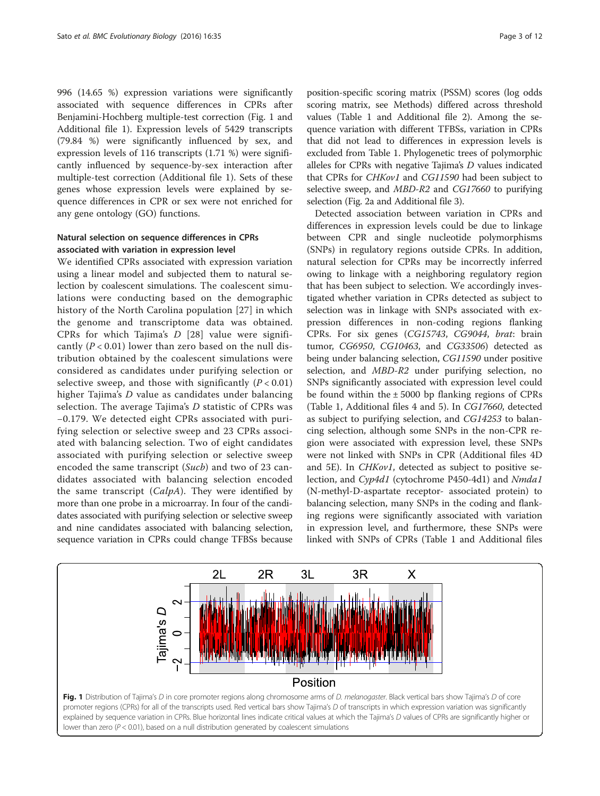996 (14.65 %) expression variations were significantly associated with sequence differences in CPRs after Benjamini-Hochberg multiple-test correction (Fig. 1 and Additional file [1\)](#page-9-0). Expression levels of 5429 transcripts (79.84 %) were significantly influenced by sex, and expression levels of 116 transcripts (1.71 %) were significantly influenced by sequence-by-sex interaction after multiple-test correction (Additional file [1\)](#page-9-0). Sets of these genes whose expression levels were explained by sequence differences in CPR or sex were not enriched for any gene ontology (GO) functions.

# Natural selection on sequence differences in CPRs associated with variation in expression level

We identified CPRs associated with expression variation using a linear model and subjected them to natural selection by coalescent simulations. The coalescent simulations were conducting based on the demographic history of the North Carolina population [\[27\]](#page-11-0) in which the genome and transcriptome data was obtained. CPRs for which Tajima's D [[28\]](#page-11-0) value were significantly ( $P < 0.01$ ) lower than zero based on the null distribution obtained by the coalescent simulations were considered as candidates under purifying selection or selective sweep, and those with significantly  $(P < 0.01)$ higher Tajima's D value as candidates under balancing selection. The average Tajima's D statistic of CPRs was −0.179. We detected eight CPRs associated with purifying selection or selective sweep and 23 CPRs associated with balancing selection. Two of eight candidates associated with purifying selection or selective sweep encoded the same transcript (Sucb) and two of 23 candidates associated with balancing selection encoded the same transcript (CalpA). They were identified by more than one probe in a microarray. In four of the candidates associated with purifying selection or selective sweep and nine candidates associated with balancing selection, sequence variation in CPRs could change TFBSs because

position-specific scoring matrix (PSSM) scores (log odds scoring matrix, see [Methods](#page-8-0)) differed across threshold values (Table [1](#page-3-0) and Additional file [2\)](#page-9-0). Among the sequence variation with different TFBSs, variation in CPRs that did not lead to differences in expression levels is excluded from Table [1.](#page-3-0) Phylogenetic trees of polymorphic alleles for CPRs with negative Tajima's D values indicated that CPRs for CHKov1 and CG11590 had been subject to selective sweep, and MBD-R2 and CG17660 to purifying selection (Fig. [2a](#page-3-0) and Additional file [3\)](#page-9-0).

Detected association between variation in CPRs and differences in expression levels could be due to linkage between CPR and single nucleotide polymorphisms (SNPs) in regulatory regions outside CPRs. In addition, natural selection for CPRs may be incorrectly inferred owing to linkage with a neighboring regulatory region that has been subject to selection. We accordingly investigated whether variation in CPRs detected as subject to selection was in linkage with SNPs associated with expression differences in non-coding regions flanking CPRs. For six genes (CG15743, CG9044, brat: brain tumor, CG6950, CG10463, and CG33506) detected as being under balancing selection, CG11590 under positive selection, and *MBD-R2* under purifying selection, no SNPs significantly associated with expression level could be found within the  $\pm 5000$  bp flanking regions of CPRs (Table [1](#page-3-0), Additional files [4](#page-9-0) and [5](#page-9-0)). In CG17660, detected as subject to purifying selection, and CG14253 to balancing selection, although some SNPs in the non-CPR region were associated with expression level, these SNPs were not linked with SNPs in CPR (Additional files [4](#page-9-0)D and [5E](#page-9-0)). In CHKov1, detected as subject to positive selection, and Cyp4d1 (cytochrome P450-4d1) and Nmda1 (N-methyl-D-aspartate receptor- associated protein) to balancing selection, many SNPs in the coding and flanking regions were significantly associated with variation in expression level, and furthermore, these SNPs were linked with SNPs of CPRs (Table [1](#page-3-0) and Additional files

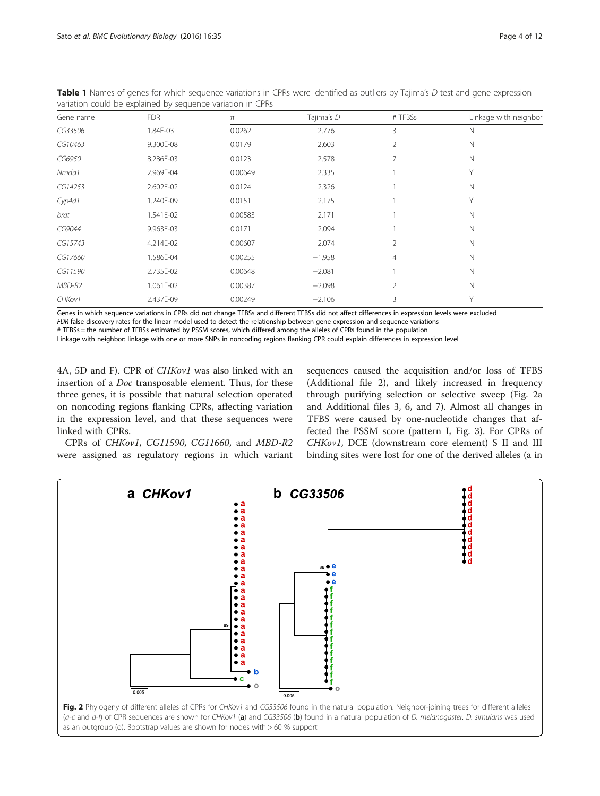| Page 4 of 12 |  |  |  |
|--------------|--|--|--|
|--------------|--|--|--|

| Gene name | <b>FDR</b> | $\pi$   | Tajima's D | #TFBSs         | Linkage with neighbor |
|-----------|------------|---------|------------|----------------|-----------------------|
| CG33506   | 1.84E-03   | 0.0262  | 2.776      | 3              | $\mathbb N$           |
| CG10463   | 9.300E-08  | 0.0179  | 2.603      | $\overline{2}$ | $\mathbb N$           |
| CG6950    | 8.286E-03  | 0.0123  | 2.578      | 7              | $\mathbb N$           |
| Nmda1     | 2.969E-04  | 0.00649 | 2.335      |                | Υ                     |
| CG14253   | 2.602E-02  | 0.0124  | 2.326      |                | $\mathbb N$           |
| Cyp4d1    | 1.240E-09  | 0.0151  | 2.175      |                | Υ                     |
| brat      | 1.541E-02  | 0.00583 | 2.171      |                | $\mathbb N$           |
| CG9044    | 9.963E-03  | 0.0171  | 2.094      |                | $\mathbb N$           |
| CG15743   | 4.214E-02  | 0.00607 | 2.074      | $\overline{2}$ | $\mathbb N$           |
| CG17660   | 1.586E-04  | 0.00255 | $-1.958$   | $\overline{4}$ | $\mathbb N$           |
| CG11590   | 2.735E-02  | 0.00648 | $-2.081$   |                | $\mathbb N$           |
| MBD-R2    | 1.061E-02  | 0.00387 | $-2.098$   | $\overline{2}$ | $\mathbb N$           |
| CHKov1    | 2.437E-09  | 0.00249 | $-2.106$   | 3              | Υ                     |

<span id="page-3-0"></span>Table 1 Names of genes for which sequence variations in CPRs were identified as outliers by Tajima's D test and gene expression variation could be explained by sequence variation in CPRs

Genes in which sequence variations in CPRs did not change TFBSs and different TFBSs did not affect differences in expression levels were excluded FDR false discovery rates for the linear model used to detect the relationship between gene expression and sequence variations

# TFBSs = the number of TFBSs estimated by PSSM scores, which differed among the alleles of CPRs found in the population

Linkage with neighbor: linkage with one or more SNPs in noncoding regions flanking CPR could explain differences in expression level

[4A](#page-9-0), [5](#page-9-0)D and F). CPR of CHKov1 was also linked with an insertion of a Doc transposable element. Thus, for these three genes, it is possible that natural selection operated on noncoding regions flanking CPRs, affecting variation in the expression level, and that these sequences were linked with CPRs.

CPRs of CHKov1, CG11590, CG11660, and MBD-R2 were assigned as regulatory regions in which variant

sequences caused the acquisition and/or loss of TFBS (Additional file [2](#page-9-0)), and likely increased in frequency through purifying selection or selective sweep (Fig. 2a and Additional files [3](#page-9-0), [6](#page-10-0), and [7](#page-10-0)). Almost all changes in TFBS were caused by one-nucleotide changes that affected the PSSM score (pattern I, Fig. [3](#page-4-0)). For CPRs of CHKov1, DCE (downstream core element) S II and III binding sites were lost for one of the derived alleles (a in

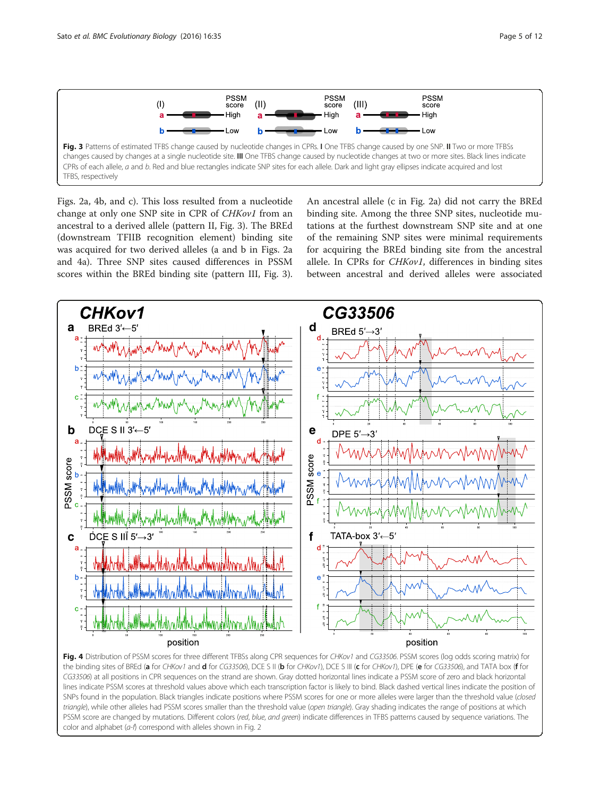<span id="page-4-0"></span>

Figs. [2a,](#page-3-0) 4b, and c). This loss resulted from a nucleotide change at only one SNP site in CPR of CHKov1 from an ancestral to a derived allele (pattern II, Fig. 3). The BREd (downstream TFIIB recognition element) binding site was acquired for two derived alleles (a and b in Figs. [2a](#page-3-0) and 4a). Three SNP sites caused differences in PSSM scores within the BREd binding site (pattern III, Fig. 3). An ancestral allele (c in Fig. [2a\)](#page-3-0) did not carry the BREd binding site. Among the three SNP sites, nucleotide mutations at the furthest downstream SNP site and at one of the remaining SNP sites were minimal requirements for acquiring the BREd binding site from the ancestral allele. In CPRs for CHKov1, differences in binding sites between ancestral and derived alleles were associated



Fig. 4 Distribution of PSSM scores for three different TFBSs along CPR sequences for CHKov1 and CG33506. PSSM scores (log odds scoring matrix) for the binding sites of BREd (a for CHKov1 and d for CG33506), DCE S II (b for CHKov1), DCE S III (c for CHKov1), DPE (e for CG33506), and TATA box (f for CG33506) at all positions in CPR sequences on the strand are shown. Gray dotted horizontal lines indicate a PSSM score of zero and black horizontal lines indicate PSSM scores at threshold values above which each transcription factor is likely to bind. Black dashed vertical lines indicate the position of SNPs found in the population. Black triangles indicate positions where PSSM scores for one or more alleles were larger than the threshold value (closed triangle), while other alleles had PSSM scores smaller than the threshold value (open triangle). Gray shading indicates the range of positions at which PSSM score are changed by mutations. Different colors (red, blue, and green) indicate differences in TFBS patterns caused by sequence variations. The color and alphabet (a-f) correspond with alleles shown in Fig. [2](#page-3-0)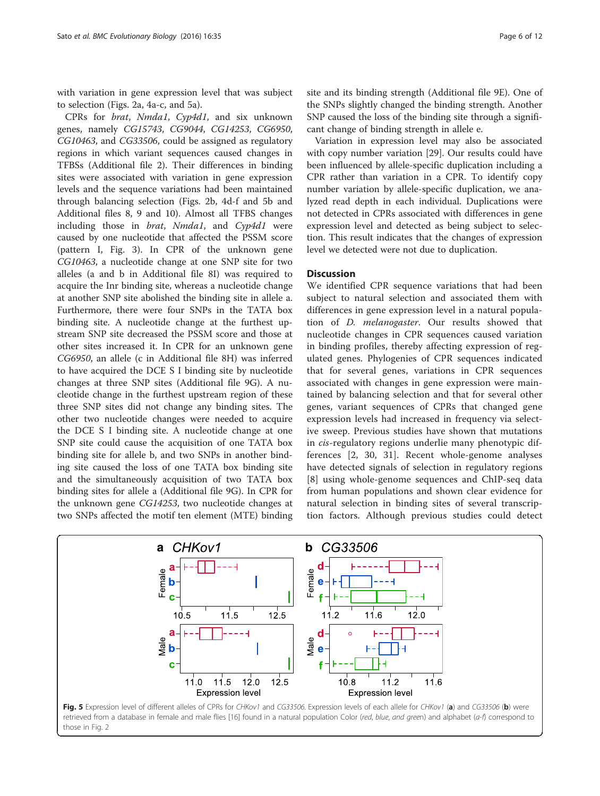with variation in gene expression level that was subject to selection (Figs. [2a](#page-3-0), [4a](#page-4-0)-[c](#page-4-0), and 5a).

CPRs for brat, Nmda1, Cyp4d1, and six unknown genes, namely CG15743, CG9044, CG14253, CG6950, CG10463, and CG33506, could be assigned as regulatory regions in which variant sequences caused changes in TFBSs (Additional file [2\)](#page-9-0). Their differences in binding sites were associated with variation in gene expression levels and the sequence variations had been maintained through balancing selection (Figs. [2b,](#page-3-0) [4d-f](#page-4-0) and 5b and Additional files [8](#page-10-0), [9](#page-10-0) and [10\)](#page-10-0). Almost all TFBS changes including those in *brat*, *Nmda1*, and *Cyp4d1* were caused by one nucleotide that affected the PSSM score (pattern I, Fig. [3](#page-4-0)). In CPR of the unknown gene CG10463, a nucleotide change at one SNP site for two alleles (a and b in Additional file [8I](#page-10-0)) was required to acquire the Inr binding site, whereas a nucleotide change at another SNP site abolished the binding site in allele a. Furthermore, there were four SNPs in the TATA box binding site. A nucleotide change at the furthest upstream SNP site decreased the PSSM score and those at other sites increased it. In CPR for an unknown gene CG6950, an allele (c in Additional file [8H](#page-10-0)) was inferred to have acquired the DCE S I binding site by nucleotide changes at three SNP sites (Additional file [9G](#page-10-0)). A nucleotide change in the furthest upstream region of these three SNP sites did not change any binding sites. The other two nucleotide changes were needed to acquire the DCE S I binding site. A nucleotide change at one SNP site could cause the acquisition of one TATA box binding site for allele b, and two SNPs in another binding site caused the loss of one TATA box binding site and the simultaneously acquisition of two TATA box binding sites for allele a (Additional file [9](#page-10-0)G). In CPR for the unknown gene CG14253, two nucleotide changes at two SNPs affected the motif ten element (MTE) binding

site and its binding strength (Additional file [9](#page-10-0)E). One of the SNPs slightly changed the binding strength. Another SNP caused the loss of the binding site through a significant change of binding strength in allele e.

Variation in expression level may also be associated with copy number variation [[29\]](#page-11-0). Our results could have been influenced by allele-specific duplication including a CPR rather than variation in a CPR. To identify copy number variation by allele-specific duplication, we analyzed read depth in each individual. Duplications were not detected in CPRs associated with differences in gene expression level and detected as being subject to selection. This result indicates that the changes of expression level we detected were not due to duplication.

## **Discussion**

We identified CPR sequence variations that had been subject to natural selection and associated them with differences in gene expression level in a natural population of D. melanogaster. Our results showed that nucleotide changes in CPR sequences caused variation in binding profiles, thereby affecting expression of regulated genes. Phylogenies of CPR sequences indicated that for several genes, variations in CPR sequences associated with changes in gene expression were maintained by balancing selection and that for several other genes, variant sequences of CPRs that changed gene expression levels had increased in frequency via selective sweep. Previous studies have shown that mutations in cis-regulatory regions underlie many phenotypic differences [\[2](#page-10-0), [30](#page-11-0), [31\]](#page-11-0). Recent whole-genome analyses have detected signals of selection in regulatory regions [[8\]](#page-10-0) using whole-genome sequences and ChIP-seq data from human populations and shown clear evidence for natural selection in binding sites of several transcription factors. Although previous studies could detect



those in Fig. [2](#page-3-0)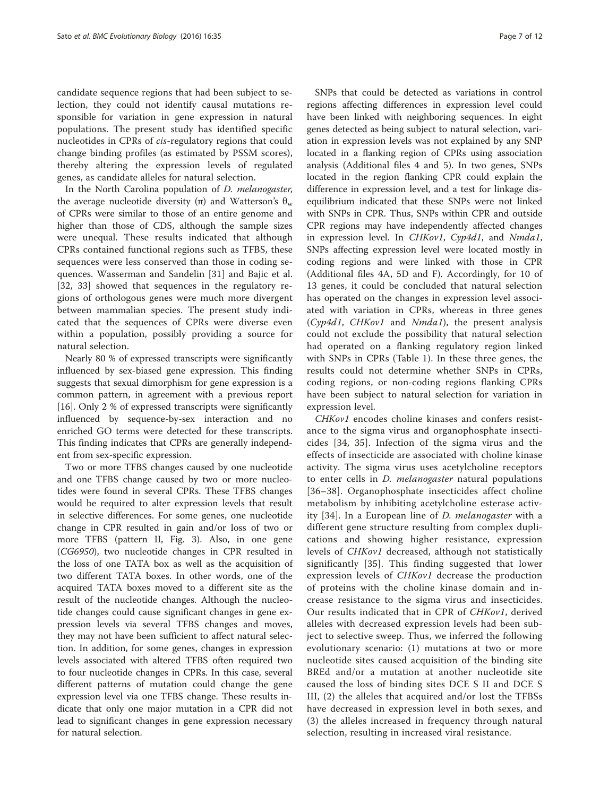candidate sequence regions that had been subject to selection, they could not identify causal mutations responsible for variation in gene expression in natural populations. The present study has identified specific nucleotides in CPRs of cis-regulatory regions that could change binding profiles (as estimated by PSSM scores), thereby altering the expression levels of regulated genes, as candidate alleles for natural selection.

In the North Carolina population of D. melanogaster, the average nucleotide diversity (π) and Watterson's  $θ<sub>w</sub>$ of CPRs were similar to those of an entire genome and higher than those of CDS, although the sample sizes were unequal. These results indicated that although CPRs contained functional regions such as TFBS, these sequences were less conserved than those in coding sequences. Wasserman and Sandelin [\[31](#page-11-0)] and Bajic et al. [[32, 33](#page-11-0)] showed that sequences in the regulatory regions of orthologous genes were much more divergent between mammalian species. The present study indicated that the sequences of CPRs were diverse even within a population, possibly providing a source for natural selection.

Nearly 80 % of expressed transcripts were significantly influenced by sex-biased gene expression. This finding suggests that sexual dimorphism for gene expression is a common pattern, in agreement with a previous report [[16\]](#page-10-0). Only 2 % of expressed transcripts were significantly influenced by sequence-by-sex interaction and no enriched GO terms were detected for these transcripts. This finding indicates that CPRs are generally independent from sex-specific expression.

Two or more TFBS changes caused by one nucleotide and one TFBS change caused by two or more nucleotides were found in several CPRs. These TFBS changes would be required to alter expression levels that result in selective differences. For some genes, one nucleotide change in CPR resulted in gain and/or loss of two or more TFBS (pattern II, Fig. [3](#page-4-0)). Also, in one gene (CG6950), two nucleotide changes in CPR resulted in the loss of one TATA box as well as the acquisition of two different TATA boxes. In other words, one of the acquired TATA boxes moved to a different site as the result of the nucleotide changes. Although the nucleotide changes could cause significant changes in gene expression levels via several TFBS changes and moves, they may not have been sufficient to affect natural selection. In addition, for some genes, changes in expression levels associated with altered TFBS often required two to four nucleotide changes in CPRs. In this case, several different patterns of mutation could change the gene expression level via one TFBS change. These results indicate that only one major mutation in a CPR did not lead to significant changes in gene expression necessary for natural selection.

SNPs that could be detected as variations in control regions affecting differences in expression level could have been linked with neighboring sequences. In eight genes detected as being subject to natural selection, variation in expression levels was not explained by any SNP located in a flanking region of CPRs using association analysis (Additional files [4](#page-9-0) and [5](#page-9-0)). In two genes, SNPs located in the region flanking CPR could explain the difference in expression level, and a test for linkage disequilibrium indicated that these SNPs were not linked with SNPs in CPR. Thus, SNPs within CPR and outside CPR regions may have independently affected changes in expression level. In CHKov1, Cyp4d1, and Nmda1, SNPs affecting expression level were located mostly in coding regions and were linked with those in CPR (Additional files [4](#page-9-0)A, [5D](#page-9-0) and F). Accordingly, for 10 of 13 genes, it could be concluded that natural selection has operated on the changes in expression level associated with variation in CPRs, whereas in three genes  $(Cyp4d1, CHKov1$  and  $Nmda1$ ), the present analysis could not exclude the possibility that natural selection had operated on a flanking regulatory region linked with SNPs in CPRs (Table [1\)](#page-3-0). In these three genes, the results could not determine whether SNPs in CPRs, coding regions, or non-coding regions flanking CPRs have been subject to natural selection for variation in expression level.

CHKov1 encodes choline kinases and confers resistance to the sigma virus and organophosphate insecticides [[34, 35](#page-11-0)]. Infection of the sigma virus and the effects of insecticide are associated with choline kinase activity. The sigma virus uses acetylcholine receptors to enter cells in D. melanogaster natural populations [[36](#page-11-0)–[38\]](#page-11-0). Organophosphate insecticides affect choline metabolism by inhibiting acetylcholine esterase activ-ity [\[34\]](#page-11-0). In a European line of *D. melanogaster* with a different gene structure resulting from complex duplications and showing higher resistance, expression levels of CHKov1 decreased, although not statistically significantly [[35](#page-11-0)]. This finding suggested that lower expression levels of CHKov1 decrease the production of proteins with the choline kinase domain and increase resistance to the sigma virus and insecticides. Our results indicated that in CPR of CHKov1, derived alleles with decreased expression levels had been subject to selective sweep. Thus, we inferred the following evolutionary scenario: (1) mutations at two or more nucleotide sites caused acquisition of the binding site BREd and/or a mutation at another nucleotide site caused the loss of binding sites DCE S II and DCE S III, (2) the alleles that acquired and/or lost the TFBSs have decreased in expression level in both sexes, and (3) the alleles increased in frequency through natural selection, resulting in increased viral resistance.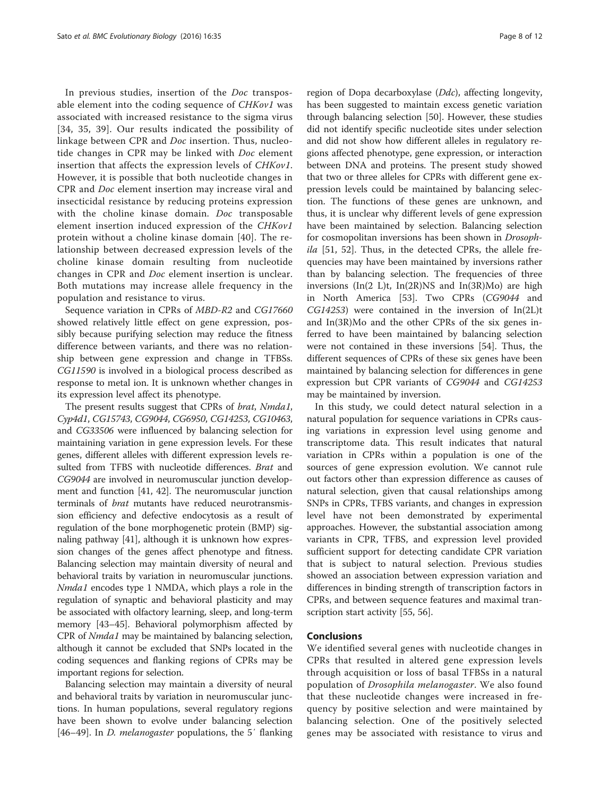In previous studies, insertion of the Doc transposable element into the coding sequence of CHKov1 was associated with increased resistance to the sigma virus [[34](#page-11-0), [35, 39](#page-11-0)]. Our results indicated the possibility of linkage between CPR and Doc insertion. Thus, nucleotide changes in CPR may be linked with Doc element insertion that affects the expression levels of CHKov1. However, it is possible that both nucleotide changes in CPR and Doc element insertion may increase viral and insecticidal resistance by reducing proteins expression with the choline kinase domain. Doc transposable element insertion induced expression of the CHKov1 protein without a choline kinase domain [[40](#page-11-0)]. The relationship between decreased expression levels of the choline kinase domain resulting from nucleotide changes in CPR and Doc element insertion is unclear. Both mutations may increase allele frequency in the population and resistance to virus.

Sequence variation in CPRs of MBD-R2 and CG17660 showed relatively little effect on gene expression, possibly because purifying selection may reduce the fitness difference between variants, and there was no relationship between gene expression and change in TFBSs. CG11590 is involved in a biological process described as response to metal ion. It is unknown whether changes in its expression level affect its phenotype.

The present results suggest that CPRs of brat, Nmda1, Cyp4d1, CG15743, CG9044, CG6950, CG14253, CG10463, and CG33506 were influenced by balancing selection for maintaining variation in gene expression levels. For these genes, different alleles with different expression levels resulted from TFBS with nucleotide differences. Brat and CG9044 are involved in neuromuscular junction development and function [[41](#page-11-0), [42\]](#page-11-0). The neuromuscular junction terminals of brat mutants have reduced neurotransmission efficiency and defective endocytosis as a result of regulation of the bone morphogenetic protein (BMP) signaling pathway [\[41\]](#page-11-0), although it is unknown how expression changes of the genes affect phenotype and fitness. Balancing selection may maintain diversity of neural and behavioral traits by variation in neuromuscular junctions. Nmda1 encodes type 1 NMDA, which plays a role in the regulation of synaptic and behavioral plasticity and may be associated with olfactory learning, sleep, and long-term memory [[43](#page-11-0)–[45\]](#page-11-0). Behavioral polymorphism affected by CPR of Nmda1 may be maintained by balancing selection, although it cannot be excluded that SNPs located in the coding sequences and flanking regions of CPRs may be important regions for selection.

Balancing selection may maintain a diversity of neural and behavioral traits by variation in neuromuscular junctions. In human populations, several regulatory regions have been shown to evolve under balancing selection [[46](#page-11-0)–[49](#page-11-0)]. In *D. melanogaster* populations, the 5' flanking

region of Dopa decarboxylase (*Ddc*), affecting longevity, has been suggested to maintain excess genetic variation through balancing selection [[50\]](#page-11-0). However, these studies did not identify specific nucleotide sites under selection and did not show how different alleles in regulatory regions affected phenotype, gene expression, or interaction between DNA and proteins. The present study showed that two or three alleles for CPRs with different gene expression levels could be maintained by balancing selection. The functions of these genes are unknown, and thus, it is unclear why different levels of gene expression have been maintained by selection. Balancing selection for cosmopolitan inversions has been shown in Drosoph $ila$  [[51, 52\]](#page-11-0). Thus, in the detected CPRs, the allele frequencies may have been maintained by inversions rather than by balancing selection. The frequencies of three inversions (In(2 L)t, In(2R)NS and In(3R)Mo) are high in North America [\[53](#page-11-0)]. Two CPRs (CG9044 and CG14253) were contained in the inversion of In(2L)t and In(3R)Mo and the other CPRs of the six genes inferred to have been maintained by balancing selection were not contained in these inversions [\[54](#page-11-0)]. Thus, the different sequences of CPRs of these six genes have been maintained by balancing selection for differences in gene expression but CPR variants of CG9044 and CG14253 may be maintained by inversion.

In this study, we could detect natural selection in a natural population for sequence variations in CPRs causing variations in expression level using genome and transcriptome data. This result indicates that natural variation in CPRs within a population is one of the sources of gene expression evolution. We cannot rule out factors other than expression difference as causes of natural selection, given that causal relationships among SNPs in CPRs, TFBS variants, and changes in expression level have not been demonstrated by experimental approaches. However, the substantial association among variants in CPR, TFBS, and expression level provided sufficient support for detecting candidate CPR variation that is subject to natural selection. Previous studies showed an association between expression variation and differences in binding strength of transcription factors in CPRs, and between sequence features and maximal transcription start activity [[55, 56\]](#page-11-0).

# Conclusions

We identified several genes with nucleotide changes in CPRs that resulted in altered gene expression levels through acquisition or loss of basal TFBSs in a natural population of Drosophila melanogaster. We also found that these nucleotide changes were increased in frequency by positive selection and were maintained by balancing selection. One of the positively selected genes may be associated with resistance to virus and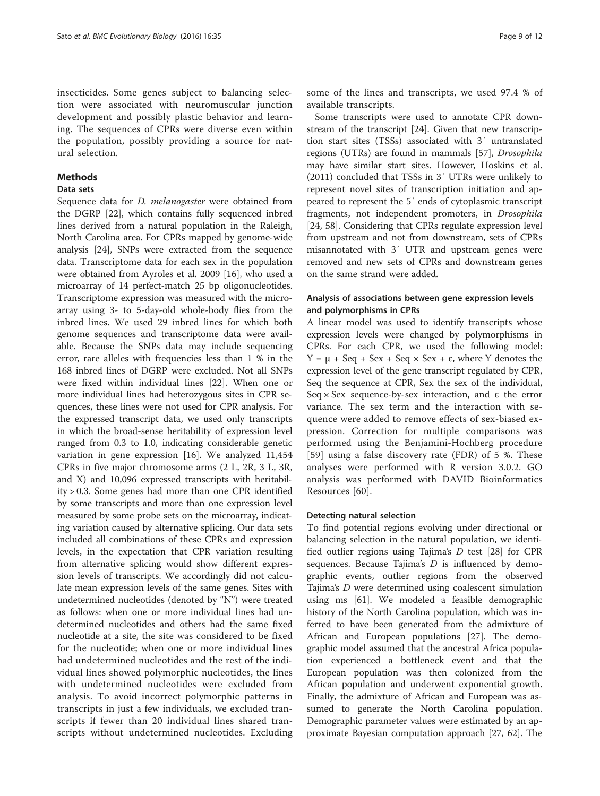<span id="page-8-0"></span>insecticides. Some genes subject to balancing selection were associated with neuromuscular junction development and possibly plastic behavior and learning. The sequences of CPRs were diverse even within the population, possibly providing a source for natural selection.

## Methods

## Data sets

Sequence data for *D. melanogaster* were obtained from the DGRP [[22\]](#page-10-0), which contains fully sequenced inbred lines derived from a natural population in the Raleigh, North Carolina area. For CPRs mapped by genome-wide analysis [\[24](#page-10-0)], SNPs were extracted from the sequence data. Transcriptome data for each sex in the population were obtained from Ayroles et al. 2009 [[16\]](#page-10-0), who used a microarray of 14 perfect-match 25 bp oligonucleotides. Transcriptome expression was measured with the microarray using 3- to 5-day-old whole-body flies from the inbred lines. We used 29 inbred lines for which both genome sequences and transcriptome data were available. Because the SNPs data may include sequencing error, rare alleles with frequencies less than 1 % in the 168 inbred lines of DGRP were excluded. Not all SNPs were fixed within individual lines [[22](#page-10-0)]. When one or more individual lines had heterozygous sites in CPR sequences, these lines were not used for CPR analysis. For the expressed transcript data, we used only transcripts in which the broad-sense heritability of expression level ranged from 0.3 to 1.0, indicating considerable genetic variation in gene expression [[16\]](#page-10-0). We analyzed 11,454 CPRs in five major chromosome arms (2 L, 2R, 3 L, 3R, and X) and 10,096 expressed transcripts with heritability > 0.3. Some genes had more than one CPR identified by some transcripts and more than one expression level measured by some probe sets on the microarray, indicating variation caused by alternative splicing. Our data sets included all combinations of these CPRs and expression levels, in the expectation that CPR variation resulting from alternative splicing would show different expression levels of transcripts. We accordingly did not calculate mean expression levels of the same genes. Sites with undetermined nucleotides (denoted by "N") were treated as follows: when one or more individual lines had undetermined nucleotides and others had the same fixed nucleotide at a site, the site was considered to be fixed for the nucleotide; when one or more individual lines had undetermined nucleotides and the rest of the individual lines showed polymorphic nucleotides, the lines with undetermined nucleotides were excluded from analysis. To avoid incorrect polymorphic patterns in transcripts in just a few individuals, we excluded transcripts if fewer than 20 individual lines shared transcripts without undetermined nucleotides. Excluding

some of the lines and transcripts, we used 97.4 % of available transcripts.

Some transcripts were used to annotate CPR downstream of the transcript [\[24](#page-10-0)]. Given that new transcription start sites (TSSs) associated with 3′ untranslated regions (UTRs) are found in mammals [\[57\]](#page-11-0), Drosophila may have similar start sites. However, Hoskins et al. (2011) concluded that TSSs in 3′ UTRs were unlikely to represent novel sites of transcription initiation and appeared to represent the 5′ ends of cytoplasmic transcript fragments, not independent promoters, in Drosophila [[24,](#page-10-0) [58\]](#page-11-0). Considering that CPRs regulate expression level from upstream and not from downstream, sets of CPRs misannotated with 3′ UTR and upstream genes were removed and new sets of CPRs and downstream genes on the same strand were added.

## Analysis of associations between gene expression levels and polymorphisms in CPRs

A linear model was used to identify transcripts whose expression levels were changed by polymorphisms in CPRs. For each CPR, we used the following model:  $Y = \mu + \text{Seq} + \text{Sex} + \text{Seq} \times \text{Sex} + \varepsilon$ , where Y denotes the expression level of the gene transcript regulated by CPR, Seq the sequence at CPR, Sex the sex of the individual, Seq  $\times$  Sex sequence-by-sex interaction, and ε the error variance. The sex term and the interaction with sequence were added to remove effects of sex-biased expression. Correction for multiple comparisons was performed using the Benjamini-Hochberg procedure [[59](#page-11-0)] using a false discovery rate (FDR) of 5 %. These analyses were performed with R version 3.0.2. GO analysis was performed with DAVID Bioinformatics Resources [[60\]](#page-11-0).

#### Detecting natural selection

To find potential regions evolving under directional or balancing selection in the natural population, we identified outlier regions using Tajima's D test [[28\]](#page-11-0) for CPR sequences. Because Tajima's  $D$  is influenced by demographic events, outlier regions from the observed Tajima's D were determined using coalescent simulation using ms [\[61](#page-11-0)]. We modeled a feasible demographic history of the North Carolina population, which was inferred to have been generated from the admixture of African and European populations [\[27](#page-11-0)]. The demographic model assumed that the ancestral Africa population experienced a bottleneck event and that the European population was then colonized from the African population and underwent exponential growth. Finally, the admixture of African and European was assumed to generate the North Carolina population. Demographic parameter values were estimated by an approximate Bayesian computation approach [\[27](#page-11-0), [62\]](#page-11-0). The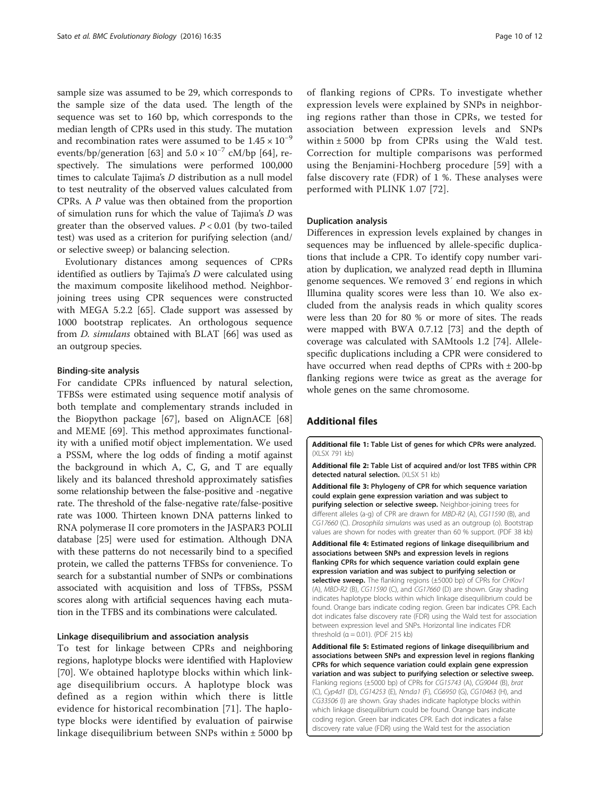<span id="page-9-0"></span>sample size was assumed to be 29, which corresponds to the sample size of the data used. The length of the sequence was set to 160 bp, which corresponds to the median length of CPRs used in this study. The mutation and recombination rates were assumed to be  $1.45 \times 10^{-9}$ events/bp/generation [[63\]](#page-11-0) and  $5.0 \times 10^{-7}$  cM/bp [[64](#page-11-0)], respectively. The simulations were performed 100,000 times to calculate Tajima's D distribution as a null model to test neutrality of the observed values calculated from CPRs. A P value was then obtained from the proportion of simulation runs for which the value of Tajima's D was greater than the observed values.  $P < 0.01$  (by two-tailed test) was used as a criterion for purifying selection (and/ or selective sweep) or balancing selection.

Evolutionary distances among sequences of CPRs identified as outliers by Tajima's D were calculated using the maximum composite likelihood method. Neighborjoining trees using CPR sequences were constructed with MEGA 5.2.2 [\[65](#page-11-0)]. Clade support was assessed by 1000 bootstrap replicates. An orthologous sequence from *D. simulans* obtained with BLAT [[66](#page-11-0)] was used as an outgroup species.

## Binding-site analysis

For candidate CPRs influenced by natural selection, TFBSs were estimated using sequence motif analysis of both template and complementary strands included in the Biopython package [\[67](#page-11-0)], based on AlignACE [[68](#page-11-0)] and MEME [[69](#page-11-0)]. This method approximates functionality with a unified motif object implementation. We used a PSSM, where the log odds of finding a motif against the background in which A, C, G, and T are equally likely and its balanced threshold approximately satisfies some relationship between the false-positive and -negative rate. The threshold of the false-negative rate/false-positive rate was 1000. Thirteen known DNA patterns linked to RNA polymerase II core promoters in the JASPAR3 POLII database [[25](#page-10-0)] were used for estimation. Although DNA with these patterns do not necessarily bind to a specified protein, we called the patterns TFBSs for convenience. To search for a substantial number of SNPs or combinations associated with acquisition and loss of TFBSs, PSSM scores along with artificial sequences having each mutation in the TFBS and its combinations were calculated.

## Linkage disequilibrium and association analysis

To test for linkage between CPRs and neighboring regions, haplotype blocks were identified with Haploview [[70\]](#page-11-0). We obtained haplotype blocks within which linkage disequilibrium occurs. A haplotype block was defined as a region within which there is little evidence for historical recombination [[71](#page-11-0)]. The haplotype blocks were identified by evaluation of pairwise linkage disequilibrium between SNPs within ± 5000 bp of flanking regions of CPRs. To investigate whether expression levels were explained by SNPs in neighboring regions rather than those in CPRs, we tested for association between expression levels and SNPs within ± 5000 bp from CPRs using the Wald test. Correction for multiple comparisons was performed using the Benjamini-Hochberg procedure [\[59](#page-11-0)] with a false discovery rate (FDR) of 1 %. These analyses were performed with PLINK 1.07 [[72](#page-11-0)].

## Duplication analysis

Differences in expression levels explained by changes in sequences may be influenced by allele-specific duplications that include a CPR. To identify copy number variation by duplication, we analyzed read depth in Illumina genome sequences. We removed 3′ end regions in which Illumina quality scores were less than 10. We also excluded from the analysis reads in which quality scores were less than 20 for 80 % or more of sites. The reads were mapped with BWA 0.7.12 [[73\]](#page-11-0) and the depth of coverage was calculated with SAMtools 1.2 [[74\]](#page-11-0). Allelespecific duplications including a CPR were considered to have occurred when read depths of CPRs with  $\pm$  200-bp flanking regions were twice as great as the average for whole genes on the same chromosome.

# Additional files

[Additional file 1:](dx.doi.org/10.1186/s12862-016-0606-3) Table List of genes for which CPRs were analyzed. (XLSX 791 kb)

[Additional file 2:](dx.doi.org/10.1186/s12862-016-0606-3) Table List of acquired and/or lost TFBS within CPR detected natural selection. (XLSX 51 kb)

[Additional file 3:](dx.doi.org/10.1186/s12862-016-0606-3) Phylogeny of CPR for which sequence variation could explain gene expression variation and was subject to purifying selection or selective sweep. Neighbor-joining trees for different alleles (a-g) of CPR are drawn for MBD-R2 (A), CG11590 (B), and CG17660 (C). Drosophila simulans was used as an outgroup (o). Bootstrap values are shown for nodes with greater than 60 % support. (PDF 38 kb)

[Additional file 4:](dx.doi.org/10.1186/s12862-016-0606-3) Estimated regions of linkage disequilibrium and associations between SNPs and expression levels in regions flanking CPRs for which sequence variation could explain gene expression variation and was subject to purifying selection or selective sweep. The flanking regions (±5000 bp) of CPRs for CHKov1 (A), MBD-R2 (B), CG11590 (C), and CG17660 (D) are shown. Gray shading indicates haplotype blocks within which linkage disequilibrium could be found. Orange bars indicate coding region. Green bar indicates CPR. Each dot indicates false discovery rate (FDR) using the Wald test for association between expression level and SNPs. Horizontal line indicates FDR threshold ( $\alpha$  = 0.01). (PDF 215 kb)

[Additional file 5:](dx.doi.org/10.1186/s12862-016-0606-3) Estimated regions of linkage disequilibrium and associations between SNPs and expression level in regions flanking CPRs for which sequence variation could explain gene expression variation and was subject to purifying selection or selective sweep. Flanking regions (±5000 bp) of CPRs for CG15743 (A), CG9044 (B), brat (C), Cyp4d1 (D), CG14253 (E), Nmda1 (F), CG6950 (G), CG10463 (H), and CG33506 (I) are shown. Gray shades indicate haplotype blocks within which linkage disequilibrium could be found. Orange bars indicate coding region. Green bar indicates CPR. Each dot indicates a false discovery rate value (FDR) using the Wald test for the association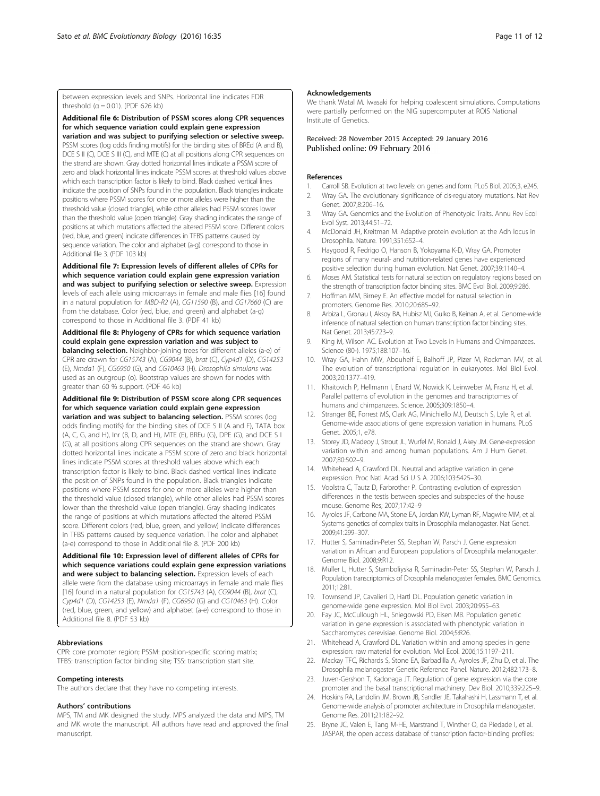<span id="page-10-0"></span>between expression levels and SNPs. Horizontal line indicates FDR threshold  $(a = 0.01)$ . (PDF 626 kb)

[Additional file 6:](dx.doi.org/10.1186/s12862-016-0606-3) Distribution of PSSM scores along CPR sequences for which sequence variation could explain gene expression variation and was subject to purifying selection or selective sweep. PSSM scores (log odds finding motifs) for the binding sites of BREd (A and B), DCE S II (C), DCE S III (C), and MTE (C) at all positions along CPR sequences on the strand are shown. Gray dotted horizontal lines indicate a PSSM score of zero and black horizontal lines indicate PSSM scores at threshold values above which each transcription factor is likely to bind. Black dashed vertical lines indicate the position of SNPs found in the population. Black triangles indicate positions where PSSM scores for one or more alleles were higher than the threshold value (closed triangle), while other alleles had PSSM scores lower than the threshold value (open triangle). Gray shading indicates the range of positions at which mutations affected the altered PSSM score. Different colors (red, blue, and green) indicate differences in TFBS patterns caused by sequence variation. The color and alphabet (a-g) correspond to those in Additional file [3](#page-9-0). (PDF 103 kb)

[Additional file 7:](dx.doi.org/10.1186/s12862-016-0606-3) Expression levels of different alleles of CPRs for which sequence variation could explain gene expression variation and was subject to purifying selection or selective sweep. Expression levels of each allele using microarrays in female and male flies [16] found in a natural population for MBD-R2 (A), CG11590 (B), and CG17660 (C) are from the database. Color (red, blue, and green) and alphabet (a-g) correspond to those in Additional file [3.](#page-9-0) (PDF 41 kb)

[Additional file 8:](dx.doi.org/10.1186/s12862-016-0606-3) Phylogeny of CPRs for which sequence variation could explain gene expression variation and was subject to balancing selection. Neighbor-joining trees for different alleles (a-e) of CPR are drawn for CG15743 (A), CG9044 (B), brat (C), Cyp4d1 (D), CG14253 (E), Nmda1 (F), CG6950 (G), and CG10463 (H). Drosophila simulans was used as an outgroup (o). Bootstrap values are shown for nodes with greater than 60 % support. (PDF 46 kb)

[Additional file 9:](dx.doi.org/10.1186/s12862-016-0606-3) Distribution of PSSM score along CPR sequences for which sequence variation could explain gene expression variation and was subject to balancing selection. PSSM scores (log odds finding motifs) for the binding sites of DCE S II (A and F), TATA box (A, C, G, and H), Inr (B, D, and H), MTE (E), BREu (G), DPE (G), and DCE S I (G), at all positions along CPR sequences on the strand are shown. Gray dotted horizontal lines indicate a PSSM score of zero and black horizontal lines indicate PSSM scores at threshold values above which each transcription factor is likely to bind. Black dashed vertical lines indicate the position of SNPs found in the population. Black triangles indicate positions where PSSM scores for one or more alleles were higher than the threshold value (closed triangle), while other alleles had PSSM scores lower than the threshold value (open triangle). Gray shading indicates the range of positions at which mutations affected the altered PSSM score. Different colors (red, blue, green, and yellow) indicate differences in TFBS patterns caused by sequence variation. The color and alphabet (a-e) correspond to those in Additional file 8. (PDF 200 kb)

[Additional file 10:](dx.doi.org/10.1186/s12862-016-0606-3) Expression level of different alleles of CPRs for which sequence variations could explain gene expression variations and were subject to balancing selection. Expression levels of each allele were from the database using microarrays in female and male flies [16] found in a natural population for CG15743 (A), CG9044 (B), brat (C), Cyp4d1 (D), CG14253 (E), Nmda1 (F), CG6950 (G) and CG10463 (H). Color (red, blue, green, and yellow) and alphabet (a-e) correspond to those in Additional file 8. (PDF 53 kb)

#### Abbreviations

CPR: core promoter region; PSSM: position-specific scoring matrix; TFBS: transcription factor binding site; TSS: transcription start site.

#### Competing interests

The authors declare that they have no competing interests.

#### Authors' contributions

MPS, TM and MK designed the study. MPS analyzed the data and MPS, TM and MK wrote the manuscript. All authors have read and approved the final manuscript.

#### Acknowledgements

We thank Watal M. Iwasaki for helping coalescent simulations. Computations were partially performed on the NIG supercomputer at ROIS National Institute of Genetics.

Received: 28 November 2015 Accepted: 29 January 2016 Published online: 09 February 2016

#### References

- 1. Carroll SB. Evolution at two levels: on genes and form. PLoS Biol. 2005;3, e245. 2. Wray GA. The evolutionary significance of cis-regulatory mutations. Nat Rev
- Genet. 2007;8:206–16.
- 3. Wray GA. Genomics and the Evolution of Phenotypic Traits. Annu Rev Ecol Evol Syst. 2013;44:51–72.
- 4. McDonald JH, Kreitman M. Adaptive protein evolution at the Adh locus in Drosophila. Nature. 1991;351:652–4.
- 5. Haygood R, Fedrigo O, Hanson B, Yokoyama K-D, Wray GA. Promoter regions of many neural- and nutrition-related genes have experienced positive selection during human evolution. Nat Genet. 2007;39:1140–4.
- 6. Moses AM. Statistical tests for natural selection on regulatory regions based on the strength of transcription factor binding sites. BMC Evol Biol. 2009;9:286.
- 7. Hoffman MM, Birney E. An effective model for natural selection in promoters. Genome Res. 2010;20:685–92.
- 8. Arbiza L, Gronau I, Aksoy BA, Hubisz MJ, Gulko B, Keinan A, et al. Genome-wide inference of natural selection on human transcription factor binding sites. Nat Genet. 2013;45:723–9.
- 9. King M, Wilson AC. Evolution at Two Levels in Humans and Chimpanzees. Science (80-). 1975;188:107–16.
- 10. Wray GA, Hahn MW, Abouheif E, Balhoff JP, Pizer M, Rockman MV, et al. The evolution of transcriptional regulation in eukaryotes. Mol Biol Evol. 2003;20:1377–419.
- 11. Khaitovich P, Hellmann I, Enard W, Nowick K, Leinweber M, Franz H, et al. Parallel patterns of evolution in the genomes and transcriptomes of humans and chimpanzees. Science. 2005;309:1850–4.
- 12. Stranger BE, Forrest MS, Clark AG, Minichiello MJ, Deutsch S, Lyle R, et al. Genome-wide associations of gene expression variation in humans. PLoS Genet. 2005;1, e78.
- 13. Storey JD, Madeoy J, Strout JL, Wurfel M, Ronald J, Akey JM. Gene-expression variation within and among human populations. Am J Hum Genet. 2007;80:502–9.
- 14. Whitehead A, Crawford DL. Neutral and adaptive variation in gene expression. Proc Natl Acad Sci U S A. 2006;103:5425–30.
- 15. Voolstra C, Tautz D, Farbrother P. Contrasting evolution of expression differences in the testis between species and subspecies of the house mouse. Genome Res; 2007;17:42–9
- 16. Ayroles JF, Carbone MA, Stone EA, Jordan KW, Lyman RF, Magwire MM, et al. Systems genetics of complex traits in Drosophila melanogaster. Nat Genet. 2009;41:299–307.
- 17. Hutter S, Saminadin-Peter SS, Stephan W, Parsch J. Gene expression variation in African and European populations of Drosophila melanogaster. Genome Biol. 2008;9:R12.
- 18. Müller L, Hutter S, Stamboliyska R, Saminadin-Peter SS, Stephan W, Parsch J. Population transcriptomics of Drosophila melanogaster females. BMC Genomics. 2011;12:81.
- 19. Townsend JP, Cavalieri D, Hartl DL. Population genetic variation in genome-wide gene expression. Mol Biol Evol. 2003;20:955–63.
- 20. Fay JC, McCullough HL, Sniegowski PD, Eisen MB. Population genetic variation in gene expression is associated with phenotypic variation in Saccharomyces cerevisiae. Genome Biol. 2004;5:R26.
- 21. Whitehead A, Crawford DL. Variation within and among species in gene expression: raw material for evolution. Mol Ecol. 2006;15:1197–211.
- 22. Mackay TFC, Richards S, Stone EA, Barbadilla A, Ayroles JF, Zhu D, et al. The Drosophila melanogaster Genetic Reference Panel. Nature. 2012;482:173–8.
- 23. Juven-Gershon T, Kadonaga JT. Regulation of gene expression via the core promoter and the basal transcriptional machinery. Dev Biol. 2010;339:225–9.
- 24. Hoskins RA, Landolin JM, Brown JB, Sandler JE, Takahashi H, Lassmann T, et al. Genome-wide analysis of promoter architecture in Drosophila melanogaster. Genome Res. 2011;21:182–92.
- 25. Bryne JC, Valen E, Tang M-HE, Marstrand T, Winther O, da Piedade I, et al. JASPAR, the open access database of transcription factor-binding profiles: